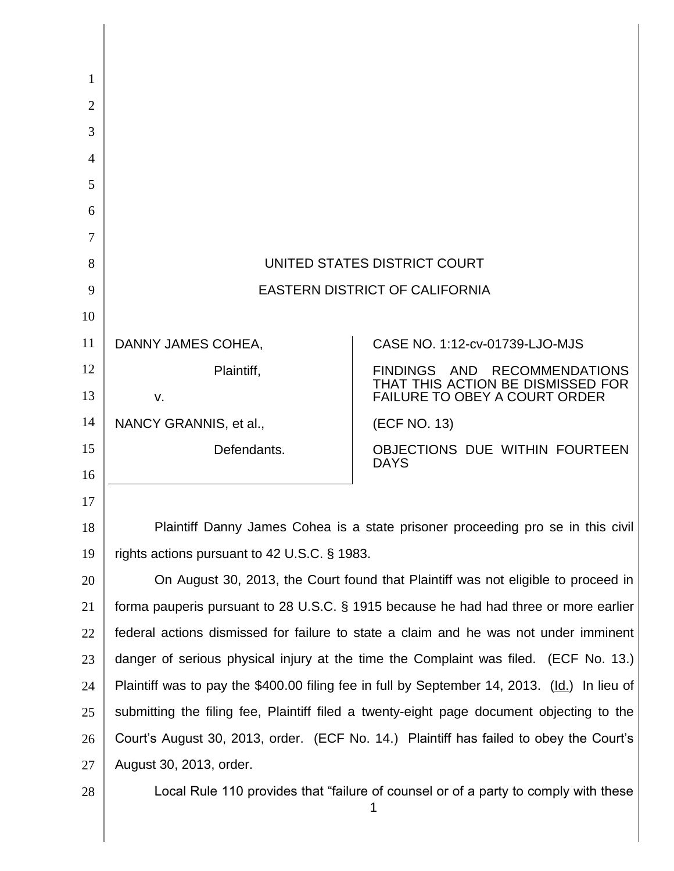| 1              |                                                                                              |                                                                             |
|----------------|----------------------------------------------------------------------------------------------|-----------------------------------------------------------------------------|
| $\overline{2}$ |                                                                                              |                                                                             |
| 3              |                                                                                              |                                                                             |
| 4              |                                                                                              |                                                                             |
| 5              |                                                                                              |                                                                             |
| 6              |                                                                                              |                                                                             |
| 7              |                                                                                              |                                                                             |
| 8              | UNITED STATES DISTRICT COURT                                                                 |                                                                             |
| 9              | <b>EASTERN DISTRICT OF CALIFORNIA</b>                                                        |                                                                             |
| 10             |                                                                                              |                                                                             |
| 11             | DANNY JAMES COHEA,                                                                           | CASE NO. 1:12-cv-01739-LJO-MJS                                              |
| 12             | Plaintiff,                                                                                   | FINDINGS AND<br><b>RECOMMENDATIONS</b><br>THAT THIS ACTION BE DISMISSED FOR |
| 13             | V.                                                                                           | <b>FAILURE TO OBEY A COURT ORDER</b>                                        |
| 14             | NANCY GRANNIS, et al.,                                                                       | (ECF NO. 13)                                                                |
| 15<br>16       | Defendants.                                                                                  | OBJECTIONS DUE WITHIN FOURTEEN<br><b>DAYS</b>                               |
| 17             |                                                                                              |                                                                             |
| 18             | Plaintiff Danny James Cohea is a state prisoner proceeding pro se in this civil              |                                                                             |
| 19             | rights actions pursuant to 42 U.S.C. § 1983.                                                 |                                                                             |
| 20             | On August 30, 2013, the Court found that Plaintiff was not eligible to proceed in            |                                                                             |
| 21             | forma pauperis pursuant to 28 U.S.C. § 1915 because he had had three or more earlier         |                                                                             |
| 22             | federal actions dismissed for failure to state a claim and he was not under imminent         |                                                                             |
| 23             | danger of serious physical injury at the time the Complaint was filed. (ECF No. 13.)         |                                                                             |
| 24             | Plaintiff was to pay the \$400.00 filing fee in full by September 14, 2013. (Id.) In lieu of |                                                                             |
| 25             | submitting the filing fee, Plaintiff filed a twenty-eight page document objecting to the     |                                                                             |
| 26             | Court's August 30, 2013, order. (ECF No. 14.) Plaintiff has failed to obey the Court's       |                                                                             |
| 27             | August 30, 2013, order.                                                                      |                                                                             |
| 28             | Local Rule 110 provides that "failure of counsel or of a party to comply with these<br>1     |                                                                             |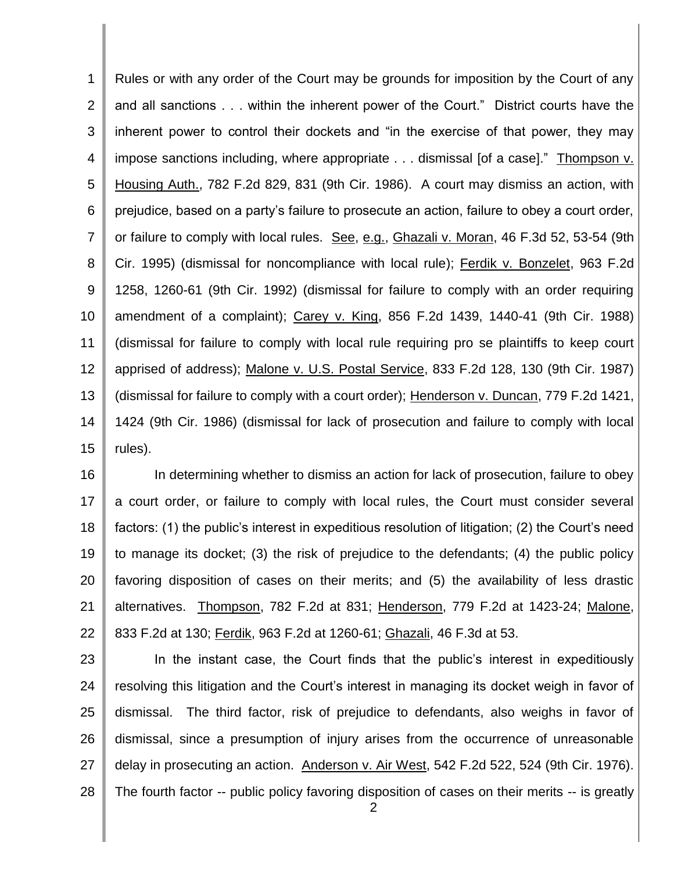1 2 3 4 5 6 7 8 9 10 11 12 13 14 15 Rules or with any order of the Court may be grounds for imposition by the Court of any and all sanctions . . . within the inherent power of the Court." District courts have the inherent power to control their dockets and "in the exercise of that power, they may impose sanctions including, where appropriate . . . dismissal [of a case]." Thompson v. Housing Auth., 782 F.2d 829, 831 (9th Cir. 1986). A court may dismiss an action, with prejudice, based on a party's failure to prosecute an action, failure to obey a court order, or failure to comply with local rules. See, e.g., Ghazali v. Moran, 46 F.3d 52, 53-54 (9th Cir. 1995) (dismissal for noncompliance with local rule); Ferdik v. Bonzelet, 963 F.2d 1258, 1260-61 (9th Cir. 1992) (dismissal for failure to comply with an order requiring amendment of a complaint); Carey v. King, 856 F.2d 1439, 1440-41 (9th Cir. 1988) (dismissal for failure to comply with local rule requiring pro se plaintiffs to keep court apprised of address); Malone v. U.S. Postal Service, 833 F.2d 128, 130 (9th Cir. 1987) (dismissal for failure to comply with a court order); Henderson v. Duncan, 779 F.2d 1421, 1424 (9th Cir. 1986) (dismissal for lack of prosecution and failure to comply with local rules).

16 17 18 19 20 21 22 In determining whether to dismiss an action for lack of prosecution, failure to obey a court order, or failure to comply with local rules, the Court must consider several factors: (1) the public's interest in expeditious resolution of litigation; (2) the Court's need to manage its docket; (3) the risk of prejudice to the defendants; (4) the public policy favoring disposition of cases on their merits; and (5) the availability of less drastic alternatives. Thompson, 782 F.2d at 831; Henderson, 779 F.2d at 1423-24; Malone, 833 F.2d at 130; Ferdik, 963 F.2d at 1260-61; Ghazali, 46 F.3d at 53.

23 24 25 26 27 28 In the instant case, the Court finds that the public's interest in expeditiously resolving this litigation and the Court's interest in managing its docket weigh in favor of dismissal. The third factor, risk of prejudice to defendants, also weighs in favor of dismissal, since a presumption of injury arises from the occurrence of unreasonable delay in prosecuting an action. Anderson v. Air West, 542 F.2d 522, 524 (9th Cir. 1976). The fourth factor -- public policy favoring disposition of cases on their merits -- is greatly

2